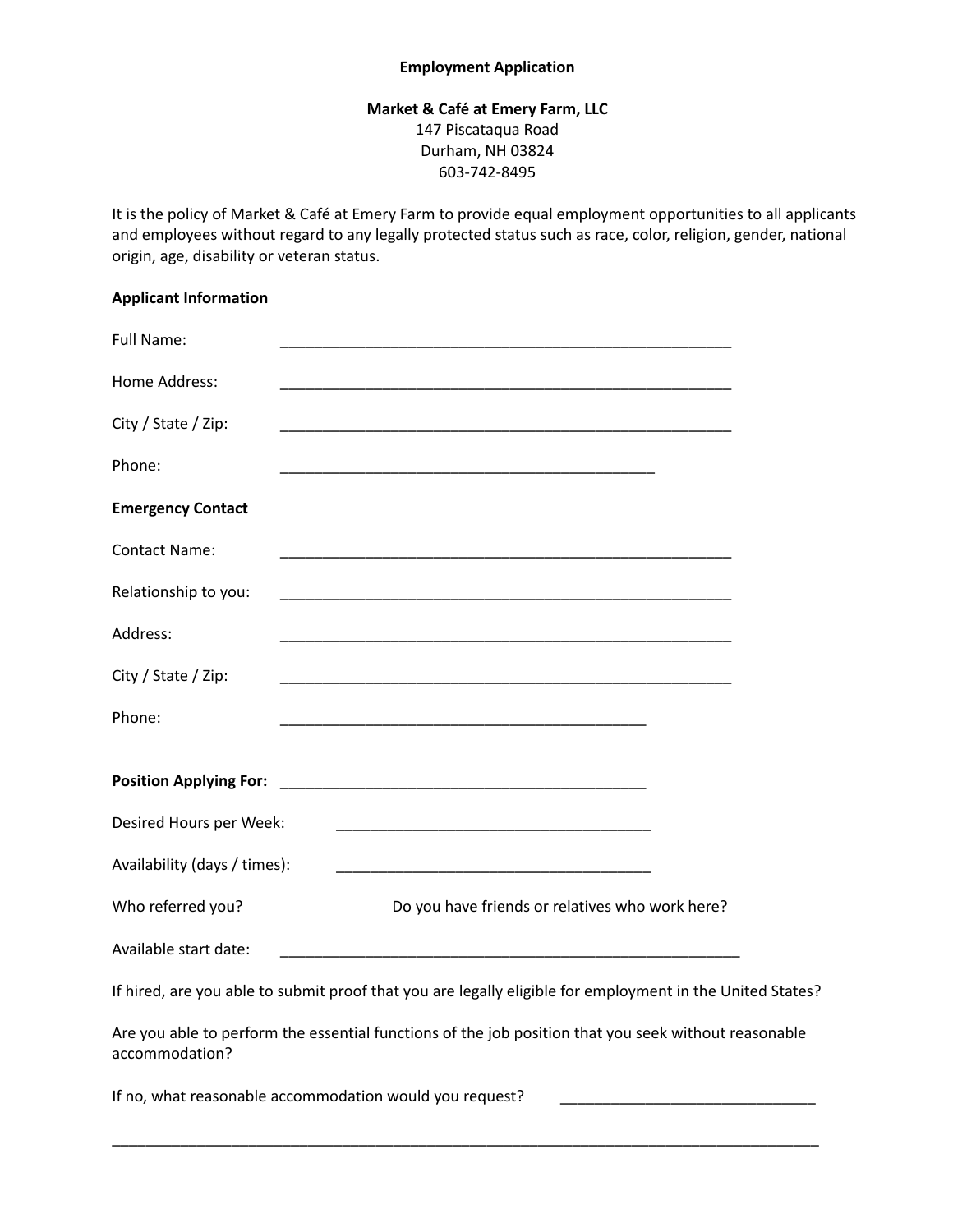## **Employment Application**

## **Market & Café at Emery Farm, LLC** 147 Piscataqua Road Durham, NH 03824 603-742-8495

It is the policy of Market & Café at Emery Farm to provide equal employment opportunities to all applicants and employees without regard to any legally protected status such as race, color, religion, gender, national origin, age, disability or veteran status.

## **Applicant Information**

| <b>Full Name:</b>                                                                                                      |                                                                                                                       |  |  |  |  |  |
|------------------------------------------------------------------------------------------------------------------------|-----------------------------------------------------------------------------------------------------------------------|--|--|--|--|--|
| Home Address:                                                                                                          |                                                                                                                       |  |  |  |  |  |
| City / State / Zip:                                                                                                    |                                                                                                                       |  |  |  |  |  |
| Phone:                                                                                                                 |                                                                                                                       |  |  |  |  |  |
| <b>Emergency Contact</b>                                                                                               |                                                                                                                       |  |  |  |  |  |
| <b>Contact Name:</b>                                                                                                   |                                                                                                                       |  |  |  |  |  |
| Relationship to you:                                                                                                   |                                                                                                                       |  |  |  |  |  |
| Address:                                                                                                               |                                                                                                                       |  |  |  |  |  |
| City / State / Zip:                                                                                                    |                                                                                                                       |  |  |  |  |  |
| Phone:                                                                                                                 | <u> 1989 - Johann John Stone, markin film yn y brening yn y brening yn y brening yn y brening yn y brening yn y b</u> |  |  |  |  |  |
| <b>Position Applying For:</b>                                                                                          |                                                                                                                       |  |  |  |  |  |
| Desired Hours per Week:                                                                                                | <u> 1980 - Johann Barn, mars ann an t-Amhain an t-Amhain an t-Amhain an t-Amhain an t-Amhain an t-Amhain an t-Amh</u> |  |  |  |  |  |
| Availability (days / times):                                                                                           |                                                                                                                       |  |  |  |  |  |
| Who referred you?                                                                                                      | Do you have friends or relatives who work here?                                                                       |  |  |  |  |  |
| Available start date:                                                                                                  |                                                                                                                       |  |  |  |  |  |
| If hired, are you able to submit proof that you are legally eligible for employment in the United States?              |                                                                                                                       |  |  |  |  |  |
| Are you able to perform the essential functions of the job position that you seek without reasonable<br>accommodation? |                                                                                                                       |  |  |  |  |  |
| If no, what reasonable accommodation would you request?                                                                |                                                                                                                       |  |  |  |  |  |

\_\_\_\_\_\_\_\_\_\_\_\_\_\_\_\_\_\_\_\_\_\_\_\_\_\_\_\_\_\_\_\_\_\_\_\_\_\_\_\_\_\_\_\_\_\_\_\_\_\_\_\_\_\_\_\_\_\_\_\_\_\_\_\_\_\_\_\_\_\_\_\_\_\_\_\_\_\_\_\_\_\_\_